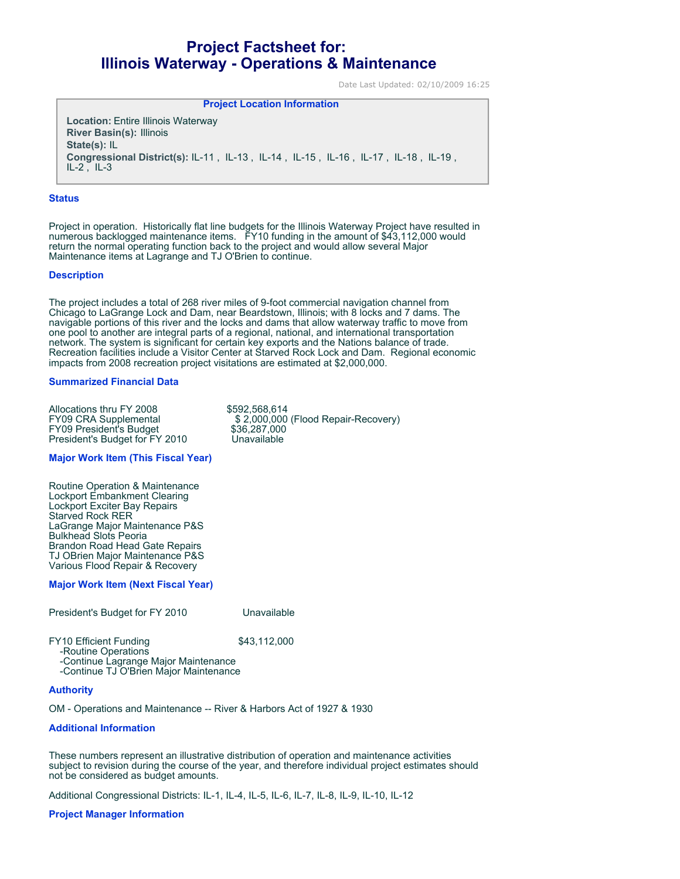# **Project Factsheet for: Illinois Waterway - Operations & Maintenance**

Date Last Updated: 02/10/2009 16:25

**Project Location Information** 

**Location:** Entire Illinois Waterway **River Basin(s):** Illinois **State(s):** IL **Congressional District(s):** IL-11 , IL-13 , IL-14 , IL-15 , IL-16 , IL-17 , IL-18 , IL-19 ,  $IL-2$ ,  $IL-3$ 

#### **Status**

Project in operation. Historically flat line budgets for the Illinois Waterway Project have resulted in numerous backlogged maintenance items. FY10 funding in the amount of \$43,112,000 would return the normal operating function back to the project and would allow several Major Maintenance items at Lagrange and TJ O'Brien to continue.

#### **Description**

The project includes a total of 268 river miles of 9-foot commercial navigation channel from Chicago to LaGrange Lock and Dam, near Beardstown, Illinois; with 8 locks and 7 dams. The navigable portions of this river and the locks and dams that allow waterway traffic to move from one pool to another are integral parts of a regional, national, and international transportation network. The system is significant for certain key exports and the Nations balance of trade. Recreation facilities include a Visitor Center at Starved Rock Lock and Dam. Regional economic impacts from 2008 recreation project visitations are estimated at \$2,000,000.

#### **Summarized Financial Data**

| Allocations thru FY 2008       | \$592,568,614                       |
|--------------------------------|-------------------------------------|
| <b>FY09 CRA Supplemental</b>   | \$2,000,000 (Flood Repair-Recovery) |
| <b>FY09 President's Budget</b> | \$36,287,000                        |
| President's Budget for FY 2010 | Unavailable                         |

## **Major Work Item (This Fiscal Year)**

Routine Operation & Maintenance Lockport Embankment Clearing Lockport Exciter Bay Repairs Starved Rock RER LaGrange Major Maintenance P&S Bulkhead Slots Peoria Brandon Road Head Gate Repairs TJ OBrien Major Maintenance P&S Various Flood Repair & Recovery

## **Major Work Item (Next Fiscal Year)**

| President's Budget for FY 2010                                                              | Unavailable  |
|---------------------------------------------------------------------------------------------|--------------|
| <b>FY10 Efficient Funding</b><br>-Routine Operations<br>Captinual caracae Maisr Maintenance | \$43,112,000 |

 -Continue Lagrange Major Maintenance -Continue TJ O'Brien Major Maintenance

## **Authority**

OM - Operations and Maintenance -- River & Harbors Act of 1927 & 1930

## **Additional Information**

These numbers represent an illustrative distribution of operation and maintenance activities subject to revision during the course of the year, and therefore individual project estimates should not be considered as budget amounts.

Additional Congressional Districts: IL-1, IL-4, IL-5, IL-6, IL-7, IL-8, IL-9, IL-10, IL-12

#### **Project Manager Information**